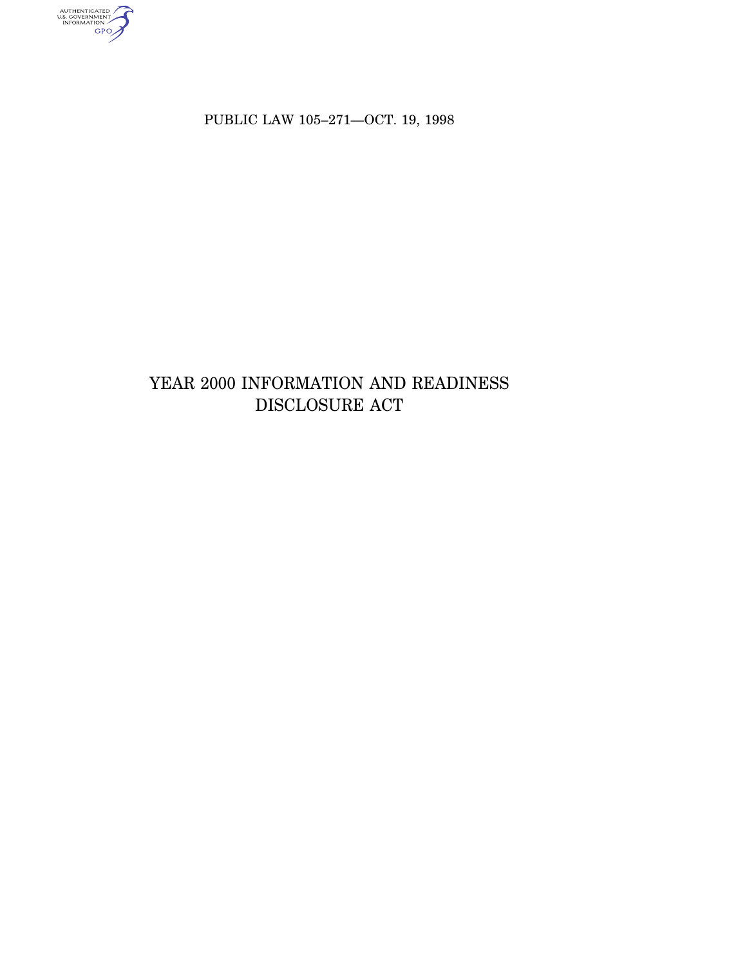authenticated<br>u.s. government<br>information<br>GPO

PUBLIC LAW 105–271—OCT. 19, 1998

# YEAR 2000 INFORMATION AND READINESS DISCLOSURE ACT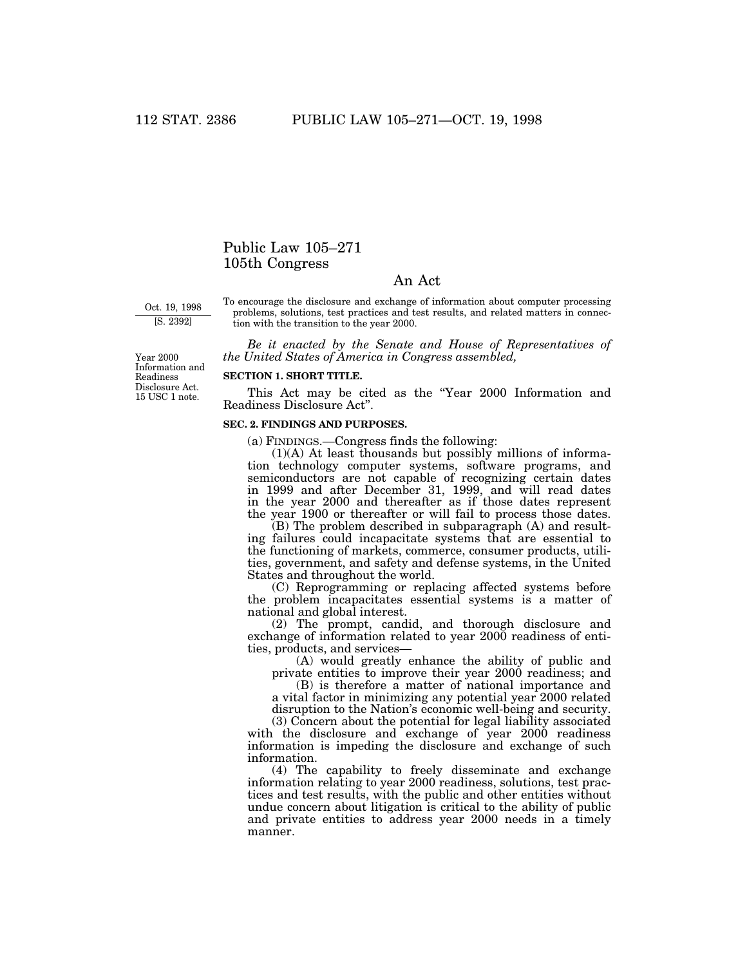## Public Law 105–271 105th Congress

### An Act

Oct. 19, 1998 [S. 2392]

To encourage the disclosure and exchange of information about computer processing problems, solutions, test practices and test results, and related matters in connection with the transition to the year 2000.

*Be it enacted by the Senate and House of Representatives of the United States of America in Congress assembled,*

Year 2000 Information and Readiness Disclosure Act. 15 USC 1 note.

#### **SECTION 1. SHORT TITLE.**

This Act may be cited as the ''Year 2000 Information and Readiness Disclosure Act''.

#### **SEC. 2. FINDINGS AND PURPOSES.**

(a) FINDINGS.—Congress finds the following:

(1)(A) At least thousands but possibly millions of information technology computer systems, software programs, and semiconductors are not capable of recognizing certain dates in 1999 and after December 31, 1999, and will read dates in the year 2000 and thereafter as if those dates represent the year 1900 or thereafter or will fail to process those dates.

 $(B)$  The problem described in subparagraph  $(A)$  and resulting failures could incapacitate systems that are essential to the functioning of markets, commerce, consumer products, utilities, government, and safety and defense systems, in the United States and throughout the world.

(C) Reprogramming or replacing affected systems before the problem incapacitates essential systems is a matter of national and global interest.

(2) The prompt, candid, and thorough disclosure and exchange of information related to year 2000 readiness of entities, products, and services—

(A) would greatly enhance the ability of public and private entities to improve their year 2000 readiness; and

(B) is therefore a matter of national importance and a vital factor in minimizing any potential year 2000 related

disruption to the Nation's economic well-being and security. (3) Concern about the potential for legal liability associated

with the disclosure and exchange of year 2000 readiness information is impeding the disclosure and exchange of such information.

(4) The capability to freely disseminate and exchange information relating to year 2000 readiness, solutions, test practices and test results, with the public and other entities without undue concern about litigation is critical to the ability of public and private entities to address year 2000 needs in a timely manner.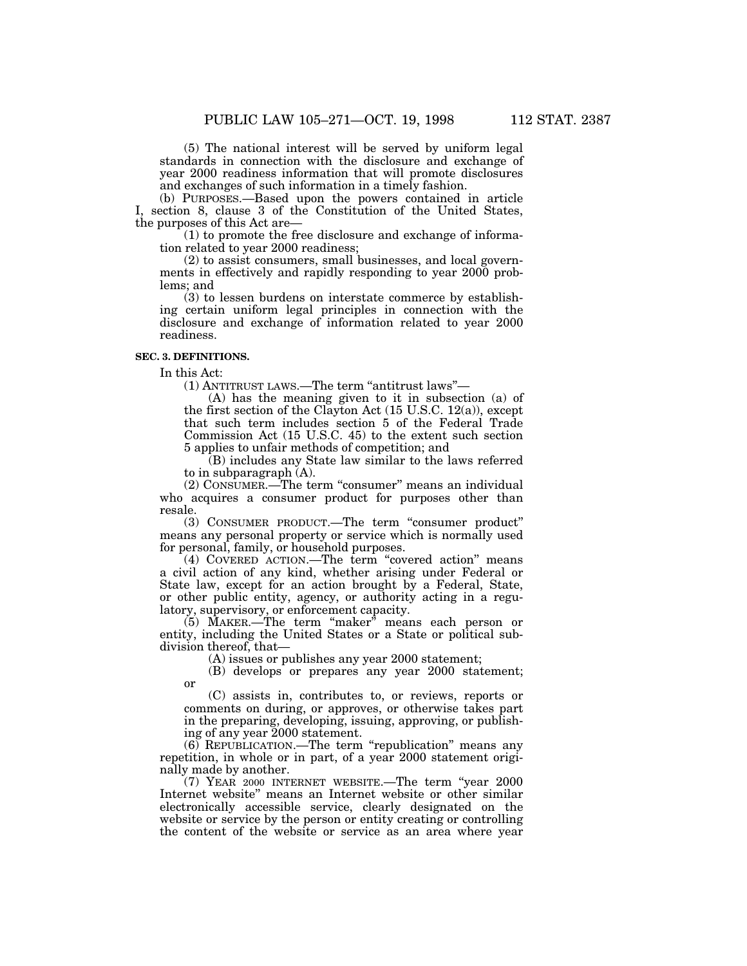(5) The national interest will be served by uniform legal standards in connection with the disclosure and exchange of year 2000 readiness information that will promote disclosures and exchanges of such information in a timely fashion.

(b) PURPOSES.—Based upon the powers contained in article I, section 8, clause 3 of the Constitution of the United States, the purposes of this Act are—

(1) to promote the free disclosure and exchange of information related to year 2000 readiness;

(2) to assist consumers, small businesses, and local governments in effectively and rapidly responding to year 2000 problems; and

(3) to lessen burdens on interstate commerce by establishing certain uniform legal principles in connection with the disclosure and exchange of information related to year 2000 readiness.

#### **SEC. 3. DEFINITIONS.**

In this Act:

or

(1) ANTITRUST LAWS.—The term ''antitrust laws''—

(A) has the meaning given to it in subsection (a) of the first section of the Clayton Act (15 U.S.C. 12(a)), except that such term includes section 5 of the Federal Trade Commission Act (15 U.S.C. 45) to the extent such section 5 applies to unfair methods of competition; and

(B) includes any State law similar to the laws referred to in subparagraph (A).

(2) CONSUMER.—The term "consumer" means an individual who acquires a consumer product for purposes other than resale.

(3) CONSUMER PRODUCT.—The term ''consumer product'' means any personal property or service which is normally used for personal, family, or household purposes.

(4) COVERED ACTION.—The term ''covered action'' means a civil action of any kind, whether arising under Federal or State law, except for an action brought by a Federal, State, or other public entity, agency, or authority acting in a regulatory, supervisory, or enforcement capacity.

(5) MAKER.—The term ''maker'' means each person or entity, including the United States or a State or political subdivision thereof, that—

(A) issues or publishes any year 2000 statement;

(B) develops or prepares any year 2000 statement;

(C) assists in, contributes to, or reviews, reports or comments on during, or approves, or otherwise takes part in the preparing, developing, issuing, approving, or publishing of any year 2000 statement.

(6) REPUBLICATION.—The term ''republication'' means any repetition, in whole or in part, of a year 2000 statement originally made by another.

(7) YEAR 2000 INTERNET WEBSITE.—The term ''year 2000 Internet website'' means an Internet website or other similar electronically accessible service, clearly designated on the website or service by the person or entity creating or controlling the content of the website or service as an area where year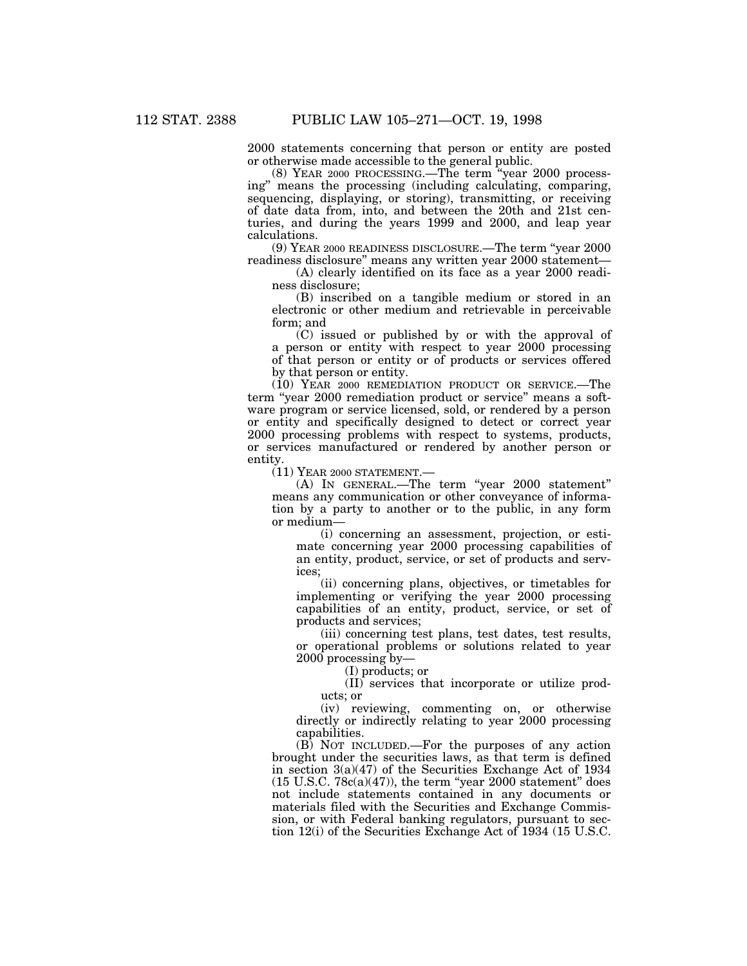2000 statements concerning that person or entity are posted or otherwise made accessible to the general public.

(8) YEAR 2000 PROCESSING.—The term ''year 2000 processing'' means the processing (including calculating, comparing, sequencing, displaying, or storing), transmitting, or receiving of date data from, into, and between the 20th and 21st centuries, and during the years 1999 and 2000, and leap year calculations.

(9) YEAR 2000 READINESS DISCLOSURE.—The term ''year 2000 readiness disclosure'' means any written year 2000 statement—

(A) clearly identified on its face as a year 2000 readiness disclosure;

(B) inscribed on a tangible medium or stored in an electronic or other medium and retrievable in perceivable form; and

(C) issued or published by or with the approval of a person or entity with respect to year 2000 processing of that person or entity or of products or services offered by that person or entity.

(10) YEAR 2000 REMEDIATION PRODUCT OR SERVICE.—The term "year 2000 remediation product or service" means a software program or service licensed, sold, or rendered by a person or entity and specifically designed to detect or correct year 2000 processing problems with respect to systems, products, or services manufactured or rendered by another person or entity.

 $(11)$  YEAR 2000 STATEMENT.

(A) IN GENERAL.—The term ''year 2000 statement'' means any communication or other conveyance of information by a party to another or to the public, in any form or medium—

(i) concerning an assessment, projection, or estimate concerning year 2000 processing capabilities of an entity, product, service, or set of products and services;

(ii) concerning plans, objectives, or timetables for implementing or verifying the year 2000 processing capabilities of an entity, product, service, or set of products and services;

(iii) concerning test plans, test dates, test results, or operational problems or solutions related to year 2000 processing by—

(I) products; or

(II) services that incorporate or utilize products; or

(iv) reviewing, commenting on, or otherwise directly or indirectly relating to year 2000 processing capabilities.

(B) NOT INCLUDED.—For the purposes of any action brought under the securities laws, as that term is defined in section  $3(a)(47)$  of the Securities Exchange Act of 1934  $(15 \text{ U.S.C. } 78c(a)(47))$ , the term "year 2000 statement" does not include statements contained in any documents or materials filed with the Securities and Exchange Commission, or with Federal banking regulators, pursuant to section 12(i) of the Securities Exchange Act of 1934 (15 U.S.C.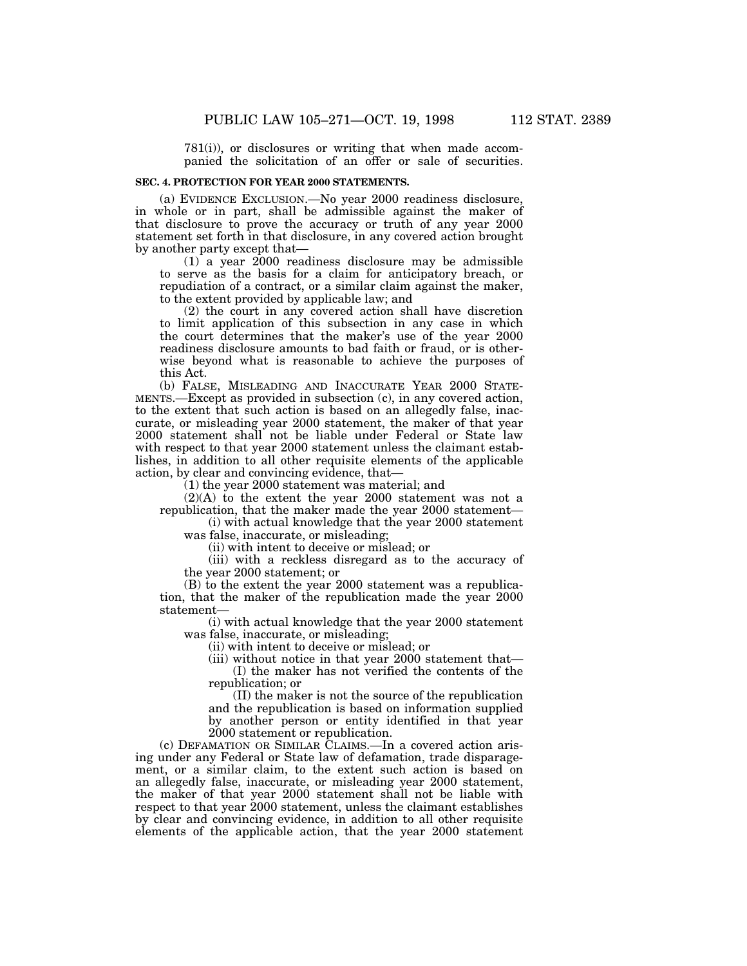781(i)), or disclosures or writing that when made accompanied the solicitation of an offer or sale of securities.

#### **SEC. 4. PROTECTION FOR YEAR 2000 STATEMENTS.**

(a) EVIDENCE EXCLUSION.—No year 2000 readiness disclosure, in whole or in part, shall be admissible against the maker of that disclosure to prove the accuracy or truth of any year 2000 statement set forth in that disclosure, in any covered action brought by another party except that—

(1) a year 2000 readiness disclosure may be admissible to serve as the basis for a claim for anticipatory breach, or repudiation of a contract, or a similar claim against the maker, to the extent provided by applicable law; and

(2) the court in any covered action shall have discretion to limit application of this subsection in any case in which the court determines that the maker's use of the year 2000 readiness disclosure amounts to bad faith or fraud, or is otherwise beyond what is reasonable to achieve the purposes of this Act.

(b) FALSE, MISLEADING AND INACCURATE YEAR 2000 STATE-MENTS.—Except as provided in subsection (c), in any covered action, to the extent that such action is based on an allegedly false, inaccurate, or misleading year 2000 statement, the maker of that year 2000 statement shall not be liable under Federal or State law with respect to that year 2000 statement unless the claimant establishes, in addition to all other requisite elements of the applicable action, by clear and convincing evidence, that—

(1) the year 2000 statement was material; and

(2)(A) to the extent the year 2000 statement was not a republication, that the maker made the year 2000 statement—

(i) with actual knowledge that the year 2000 statement was false, inaccurate, or misleading;

(ii) with intent to deceive or mislead; or

(iii) with a reckless disregard as to the accuracy of the year 2000 statement; or

(B) to the extent the year 2000 statement was a republication, that the maker of the republication made the year 2000 statement—

(i) with actual knowledge that the year 2000 statement was false, inaccurate, or misleading;

(ii) with intent to deceive or mislead; or

(iii) without notice in that year 2000 statement that— (I) the maker has not verified the contents of the

republication; or

(II) the maker is not the source of the republication and the republication is based on information supplied by another person or entity identified in that year 2000 statement or republication.

(c) DEFAMATION OR SIMILAR CLAIMS.—In a covered action arising under any Federal or State law of defamation, trade disparagement, or a similar claim, to the extent such action is based on an allegedly false, inaccurate, or misleading year 2000 statement, the maker of that year 2000 statement shall not be liable with respect to that year 2000 statement, unless the claimant establishes by clear and convincing evidence, in addition to all other requisite elements of the applicable action, that the year 2000 statement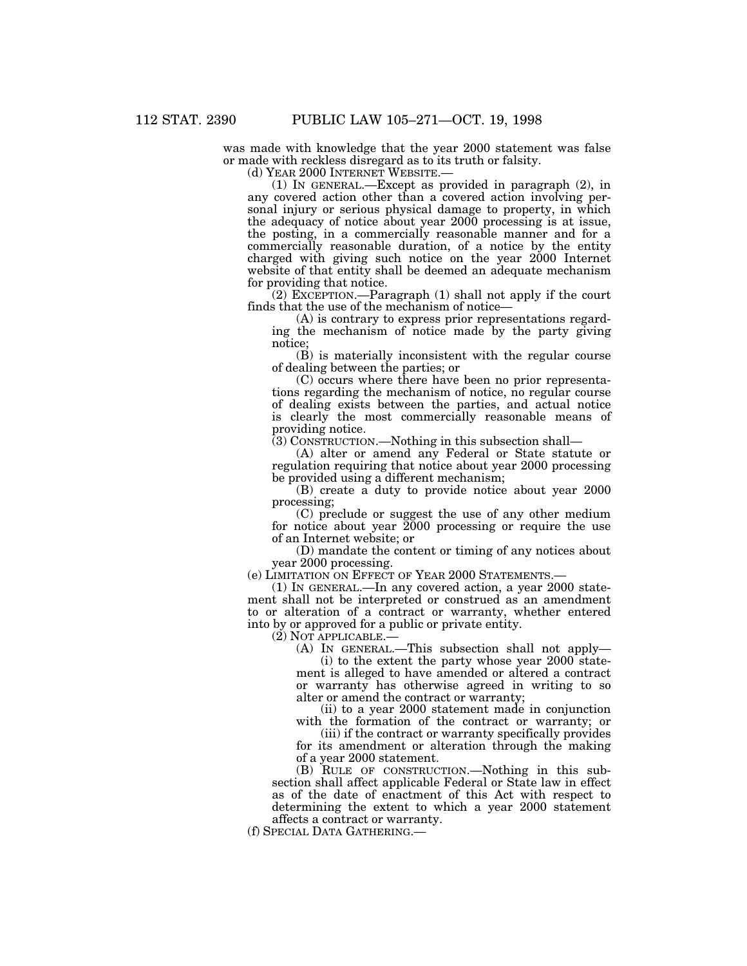was made with knowledge that the year 2000 statement was false or made with reckless disregard as to its truth or falsity.<br>(d) YEAR 2000 INTERNET WEBSITE.—

(1) IN GENERAL.—Except as provided in paragraph  $(2)$ , in any covered action other than a covered action involving personal injury or serious physical damage to property, in which the adequacy of notice about year 2000 processing is at issue, the posting, in a commercially reasonable manner and for a commercially reasonable duration, of a notice by the entity charged with giving such notice on the year 2000 Internet website of that entity shall be deemed an adequate mechanism for providing that notice.

(2) EXCEPTION.—Paragraph (1) shall not apply if the court finds that the use of the mechanism of notice—

(A) is contrary to express prior representations regarding the mechanism of notice made by the party giving notice;

(B) is materially inconsistent with the regular course of dealing between the parties; or

(C) occurs where there have been no prior representations regarding the mechanism of notice, no regular course of dealing exists between the parties, and actual notice is clearly the most commercially reasonable means of providing notice.

(3) CONSTRUCTION.—Nothing in this subsection shall—

(A) alter or amend any Federal or State statute or regulation requiring that notice about year 2000 processing be provided using a different mechanism;

(B) create a duty to provide notice about year 2000 processing;

(C) preclude or suggest the use of any other medium for notice about year 2000 processing or require the use of an Internet website; or

(D) mandate the content or timing of any notices about year 2000 processing.

(e) LIMITATION ON EFFECT OF YEAR 2000 STATEMENTS.—

(1) IN GENERAL.—In any covered action, a year 2000 statement shall not be interpreted or construed as an amendment to or alteration of a contract or warranty, whether entered into by or approved for a public or private entity.

(2) NOT APPLICABLE.—

(A) IN GENERAL.—This subsection shall not apply—

(i) to the extent the party whose year 2000 statement is alleged to have amended or altered a contract or warranty has otherwise agreed in writing to so alter or amend the contract or warranty;

(ii) to a year 2000 statement made in conjunction with the formation of the contract or warranty; or

(iii) if the contract or warranty specifically provides for its amendment or alteration through the making of a year 2000 statement.

(B) RULE OF CONSTRUCTION.—Nothing in this subsection shall affect applicable Federal or State law in effect as of the date of enactment of this Act with respect to determining the extent to which a year 2000 statement affects a contract or warranty.

(f) SPECIAL DATA GATHERING.—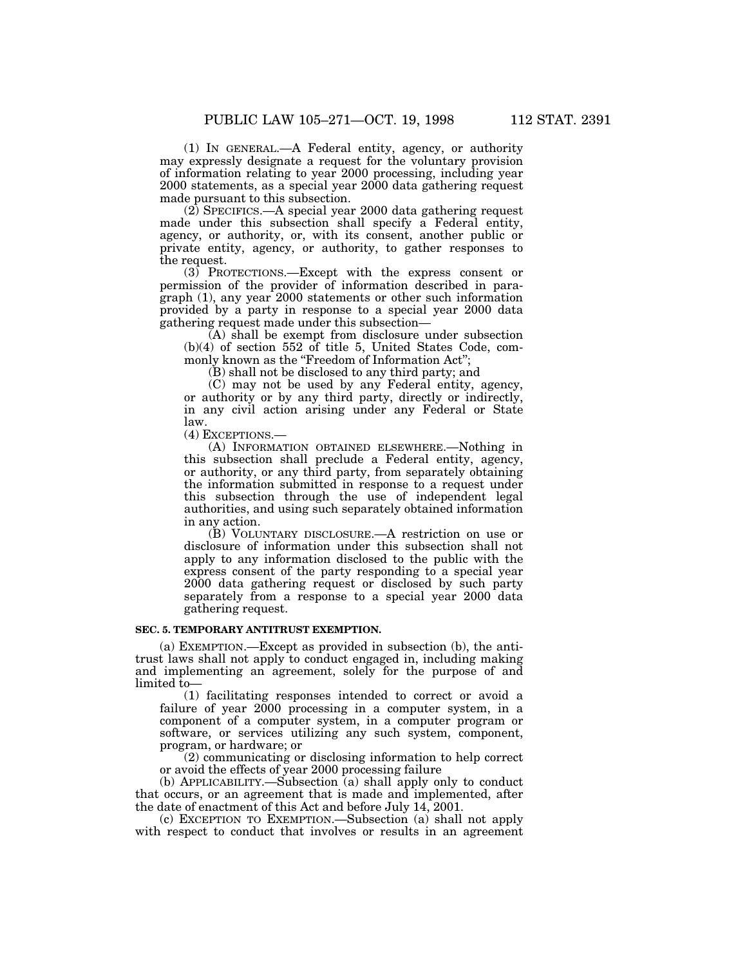(1) IN GENERAL.—A Federal entity, agency, or authority may expressly designate a request for the voluntary provision of information relating to year 2000 processing, including year 2000 statements, as a special year 2000 data gathering request made pursuant to this subsection.

(2) SPECIFICS.—A special year 2000 data gathering request made under this subsection shall specify a Federal entity, agency, or authority, or, with its consent, another public or private entity, agency, or authority, to gather responses to the request.

(3) PROTECTIONS.—Except with the express consent or permission of the provider of information described in paragraph (1), any year 2000 statements or other such information provided by a party in response to a special year 2000 data gathering request made under this subsection—

(A) shall be exempt from disclosure under subsection (b)(4) of section 552 of title 5, United States Code, commonly known as the "Freedom of Information Act";

(B) shall not be disclosed to any third party; and

(C) may not be used by any Federal entity, agency, or authority or by any third party, directly or indirectly, in any civil action arising under any Federal or State law.

(4) EXCEPTIONS.—

(A) INFORMATION OBTAINED ELSEWHERE.—Nothing in this subsection shall preclude a Federal entity, agency, or authority, or any third party, from separately obtaining the information submitted in response to a request under this subsection through the use of independent legal authorities, and using such separately obtained information in any action.

(B) VOLUNTARY DISCLOSURE.—A restriction on use or disclosure of information under this subsection shall not apply to any information disclosed to the public with the express consent of the party responding to a special year 2000 data gathering request or disclosed by such party separately from a response to a special year 2000 data gathering request.

#### **SEC. 5. TEMPORARY ANTITRUST EXEMPTION.**

(a) EXEMPTION.—Except as provided in subsection (b), the antitrust laws shall not apply to conduct engaged in, including making and implementing an agreement, solely for the purpose of and limited to—

(1) facilitating responses intended to correct or avoid a failure of year 2000 processing in a computer system, in a component of a computer system, in a computer program or software, or services utilizing any such system, component, program, or hardware; or

(2) communicating or disclosing information to help correct or avoid the effects of year 2000 processing failure

(b) APPLICABILITY.—Subsection (a) shall apply only to conduct that occurs, or an agreement that is made and implemented, after the date of enactment of this Act and before July 14, 2001.

(c) EXCEPTION TO EXEMPTION.—Subsection (a) shall not apply with respect to conduct that involves or results in an agreement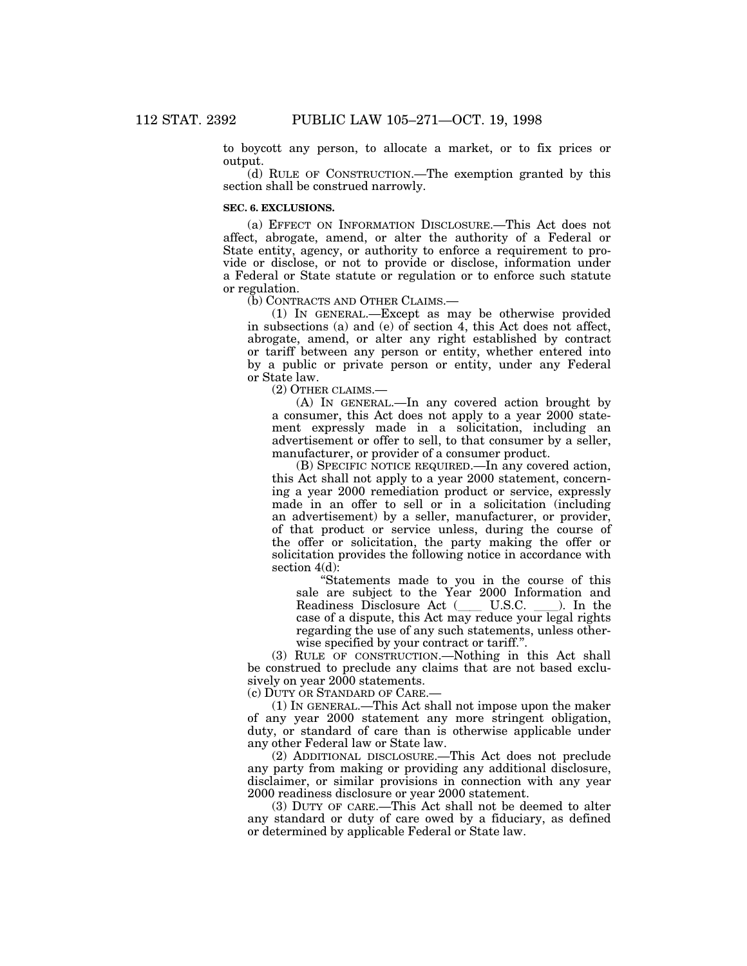to boycott any person, to allocate a market, or to fix prices or output.

(d) RULE OF CONSTRUCTION.—The exemption granted by this section shall be construed narrowly.

#### **SEC. 6. EXCLUSIONS.**

(a) EFFECT ON INFORMATION DISCLOSURE.—This Act does not affect, abrogate, amend, or alter the authority of a Federal or State entity, agency, or authority to enforce a requirement to provide or disclose, or not to provide or disclose, information under a Federal or State statute or regulation or to enforce such statute or regulation.

(b) CONTRACTS AND OTHER CLAIMS.—

(1) IN GENERAL.—Except as may be otherwise provided in subsections (a) and (e) of section 4, this Act does not affect, abrogate, amend, or alter any right established by contract or tariff between any person or entity, whether entered into by a public or private person or entity, under any Federal or State law.

(2) OTHER CLAIMS.—

(A) IN GENERAL.—In any covered action brought by a consumer, this Act does not apply to a year 2000 statement expressly made in a solicitation, including an advertisement or offer to sell, to that consumer by a seller, manufacturer, or provider of a consumer product.

(B) SPECIFIC NOTICE REQUIRED.—In any covered action, this Act shall not apply to a year 2000 statement, concerning a year 2000 remediation product or service, expressly made in an offer to sell or in a solicitation (including an advertisement) by a seller, manufacturer, or provider, of that product or service unless, during the course of the offer or solicitation, the party making the offer or solicitation provides the following notice in accordance with section  $4(d)$ :

''Statements made to you in the course of this sale are subject to the Year 2000 Information and Readiness Disclosure Act (Cass U.S.C. Casselling). In the case of a dispute, this Act may reduce your legal rights regarding the use of any such statements, unless otherwise specified by your contract or tariff.''.

(3) RULE OF CONSTRUCTION.—Nothing in this Act shall be construed to preclude any claims that are not based exclusively on year 2000 statements.

(c) DUTY OR STANDARD OF CARE.—

(1) IN GENERAL.—This Act shall not impose upon the maker of any year 2000 statement any more stringent obligation, duty, or standard of care than is otherwise applicable under any other Federal law or State law.

(2) ADDITIONAL DISCLOSURE.—This Act does not preclude any party from making or providing any additional disclosure, disclaimer, or similar provisions in connection with any year 2000 readiness disclosure or year 2000 statement.

(3) DUTY OF CARE.—This Act shall not be deemed to alter any standard or duty of care owed by a fiduciary, as defined or determined by applicable Federal or State law.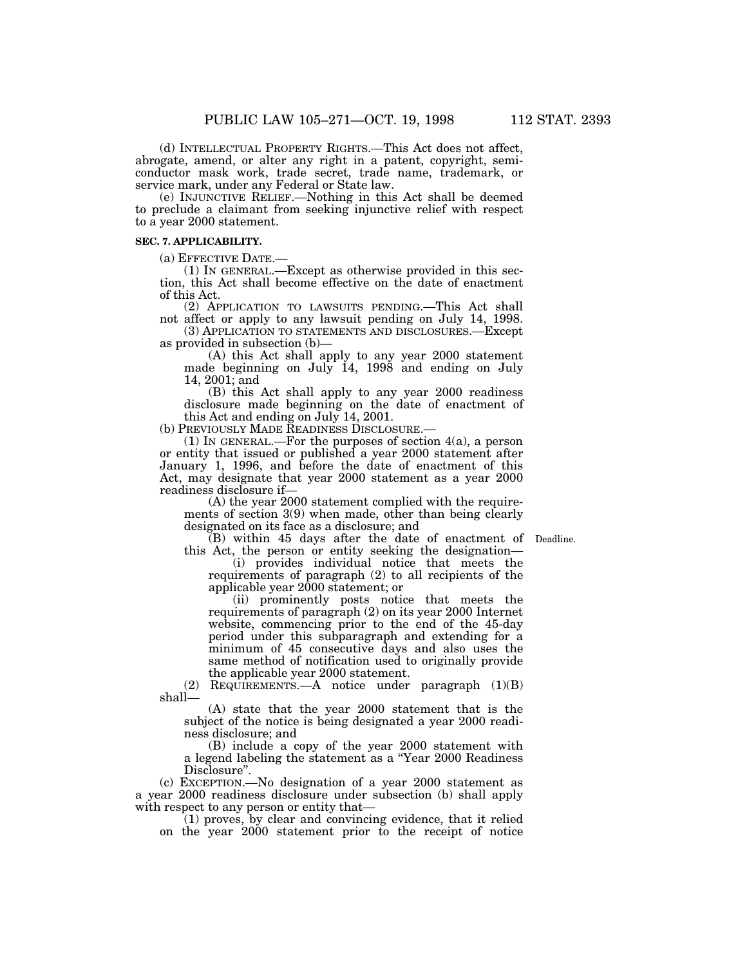(d) INTELLECTUAL PROPERTY RIGHTS.—This Act does not affect, abrogate, amend, or alter any right in a patent, copyright, semiconductor mask work, trade secret, trade name, trademark, or service mark, under any Federal or State law.

(e) INJUNCTIVE RELIEF.—Nothing in this Act shall be deemed to preclude a claimant from seeking injunctive relief with respect to a year 2000 statement.

#### **SEC. 7. APPLICABILITY.**

(a) EFFECTIVE DATE.—

(1) IN GENERAL.—Except as otherwise provided in this section, this Act shall become effective on the date of enactment of this Act.

(2) APPLICATION TO LAWSUITS PENDING.—This Act shall not affect or apply to any lawsuit pending on July 14, 1998.

(3) APPLICATION TO STATEMENTS AND DISCLOSURES.—Except as provided in subsection (b)—

(A) this Act shall apply to any year 2000 statement made beginning on July 14, 1998 and ending on July 14, 2001; and

(B) this Act shall apply to any year 2000 readiness disclosure made beginning on the date of enactment of this Act and ending on July 14, 2001.

(b) PREVIOUSLY MADE READINESS DISCLOSURE.

(1) IN GENERAL.—For the purposes of section 4(a), a person or entity that issued or published a year 2000 statement after January 1, 1996, and before the date of enactment of this Act, may designate that year 2000 statement as a year 2000 readiness disclosure if—

(A) the year 2000 statement complied with the requirements of section 3(9) when made, other than being clearly designated on its face as a disclosure; and

(B) within 45 days after the date of enactment of Deadline.

this Act, the person or entity seeking the designation— (i) provides individual notice that meets the requirements of paragraph (2) to all recipients of the applicable year 2000 statement; or

(ii) prominently posts notice that meets the requirements of paragraph (2) on its year 2000 Internet website, commencing prior to the end of the 45-day period under this subparagraph and extending for a minimum of 45 consecutive days and also uses the same method of notification used to originally provide the applicable year 2000 statement.

(2) REQUIREMENTS.—A notice under paragraph (1)(B) shall—

(A) state that the year 2000 statement that is the subject of the notice is being designated a year 2000 readiness disclosure; and

(B) include a copy of the year 2000 statement with a legend labeling the statement as a ''Year 2000 Readiness Disclosure''.

(c) EXCEPTION.—No designation of a year 2000 statement as a year 2000 readiness disclosure under subsection (b) shall apply with respect to any person or entity that—

(1) proves, by clear and convincing evidence, that it relied on the year 2000 statement prior to the receipt of notice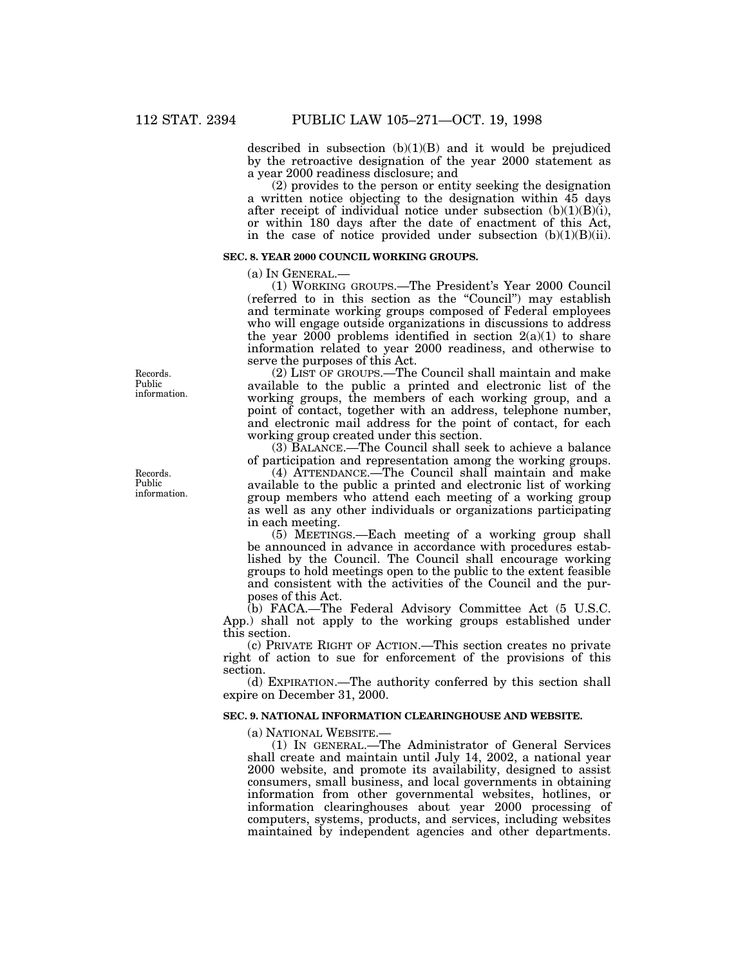described in subsection (b)(1)(B) and it would be prejudiced by the retroactive designation of the year 2000 statement as a year 2000 readiness disclosure; and

(2) provides to the person or entity seeking the designation a written notice objecting to the designation within 45 days after receipt of individual notice under subsection  $(b)(1)(B)(i)$ , or within 180 days after the date of enactment of this Act, in the case of notice provided under subsection  $(b)(1)(B)(ii)$ .

#### **SEC. 8. YEAR 2000 COUNCIL WORKING GROUPS.**

(a) IN GENERAL.—

(1) WORKING GROUPS.—The President's Year 2000 Council (referred to in this section as the ''Council'') may establish and terminate working groups composed of Federal employees who will engage outside organizations in discussions to address the year  $2000$  problems identified in section  $2(a)(1)$  to share information related to year 2000 readiness, and otherwise to serve the purposes of this Act.

(2) LIST OF GROUPS.—The Council shall maintain and make available to the public a printed and electronic list of the working groups, the members of each working group, and a point of contact, together with an address, telephone number, and electronic mail address for the point of contact, for each working group created under this section.

(3) BALANCE.—The Council shall seek to achieve a balance of participation and representation among the working groups.

(4) ATTENDANCE.—The Council shall maintain and make available to the public a printed and electronic list of working group members who attend each meeting of a working group as well as any other individuals or organizations participating in each meeting.

(5) MEETINGS.—Each meeting of a working group shall be announced in advance in accordance with procedures established by the Council. The Council shall encourage working groups to hold meetings open to the public to the extent feasible and consistent with the activities of the Council and the purposes of this Act.

(b) FACA.—The Federal Advisory Committee Act (5 U.S.C. App.) shall not apply to the working groups established under this section.

(c) PRIVATE RIGHT OF ACTION.—This section creates no private right of action to sue for enforcement of the provisions of this section.

(d) EXPIRATION.—The authority conferred by this section shall expire on December 31, 2000.

#### **SEC. 9. NATIONAL INFORMATION CLEARINGHOUSE AND WEBSITE.**

(a) NATIONAL WEBSITE.—

(1) IN GENERAL.—The Administrator of General Services shall create and maintain until July 14, 2002, a national year 2000 website, and promote its availability, designed to assist consumers, small business, and local governments in obtaining information from other governmental websites, hotlines, or information clearinghouses about year 2000 processing of computers, systems, products, and services, including websites maintained by independent agencies and other departments.

Records. Public information.

Records. Public information.